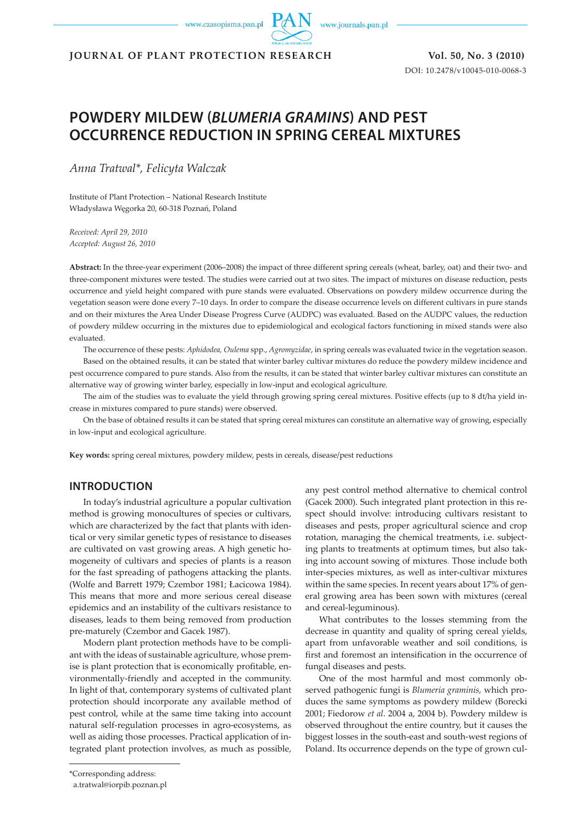www.czasopisma.pan.pl



**JOURNAL OF PLANT PROTECTION RESEARCH Vol. 50, No. 3 (2010)**

DOI: 10.2478/v10045-010-0068-3

# **POWDERY MILDEW (***BLUMERIA GRAMINS***) AND PEST OCCURRENCE REDUCTION IN SPRING CEREAL MIXTURES**

*Anna Tratwal\*, Felicyta Walczak* 

Institute of Plant Protection – National Research Institute Władysława Węgorka 20, 60-318 Poznań, Poland

*Received: April 29, 2010 Accepted: August 26, 2010*

**Abstract:** In the three-year experiment (2006–2008) the impact of three different spring cereals (wheat, barley, oat) and their two- and three-component mixtures were tested. The studies were carried out at two sites. The impact of mixtures on disease reduction, pests occurrence and yield height compared with pure stands were evaluated. Observations on powdery mildew occurrence during the vegetation season were done every 7–10 days. In order to compare the disease occurrence levels on different cultivars in pure stands and on their mixtures the Area Under Disease Progress Curve (AUDPC) was evaluated. Based on the AUDPC values, the reduction of powdery mildew occurring in the mixtures due to epidemiological and ecological factors functioning in mixed stands were also evaluated.

The occurrence of these pests: *Aphidodea, Oulema* spp., *Agromyzidae*, in spring cereals was evaluated twice in the vegetation season.

Based on the obtained results, it can be stated that winter barley cultivar mixtures do reduce the powdery mildew incidence and pest occurrence compared to pure stands. Also from the results, it can be stated that winter barley cultivar mixtures can constitute an alternative way of growing winter barley, especially in low-input and ecological agriculture.

The aim of the studies was to evaluate the yield through growing spring cereal mixtures. Positive effects (up to 8 dt/ha yield increase in mixtures compared to pure stands) were observed.

On the base of obtained results it can be stated that spring cereal mixtures can constitute an alternative way of growing, especially in low-input and ecological agriculture.

**Key words:** spring cereal mixtures, powdery mildew, pests in cereals, disease/pest reductions

## **INTRODUCTION**

In today's industrial agriculture a popular cultivation method is growing monocultures of species or cultivars, which are characterized by the fact that plants with identical or very similar genetic types of resistance to diseases are cultivated on vast growing areas. A high genetic homogeneity of cultivars and species of plants is a reason for the fast spreading of pathogens attacking the plants. (Wolfe and Barrett 1979; Czembor 1981; Łacicowa 1984). This means that more and more serious cereal disease epidemics and an instability of the cultivars resistance to diseases, leads to them being removed from production pre-maturely (Czembor and Gacek 1987).

Modern plant protection methods have to be compliant with the ideas of sustainable agriculture, whose premise is plant protection that is economically profitable, environmentally-friendly and accepted in the community. In light of that, contemporary systems of cultivated plant protection should incorporate any available method of pest control, while at the same time taking into account natural self-regulation processes in agro-ecosystems, as well as aiding those processes. Practical application of integrated plant protection involves, as much as possible,

any pest control method alternative to chemical control (Gacek 2000). Such integrated plant protection in this respect should involve: introducing cultivars resistant to diseases and pests, proper agricultural science and crop rotation, managing the chemical treatments, i.e. subjecting plants to treatments at optimum times, but also taking into account sowing of mixtures. Those include both inter-species mixtures, as well as inter-cultivar mixtures within the same species. In recent years about 17% of general growing area has been sown with mixtures (cereal and cereal-leguminous).

What contributes to the losses stemming from the decrease in quantity and quality of spring cereal yields, apart from unfavorable weather and soil conditions, is first and foremost an intensification in the occurrence of fungal diseases and pests.

One of the most harmful and most commonly observed pathogenic fungi is *Blumeria graminis,* which produces the same symptoms as powdery mildew (Borecki 2001; Fiedorow *et al*. 2004 a, 2004 b). Powdery mildew is observed throughout the entire country, but it causes the biggest losses in the south-east and south-west regions of Poland. Its occurrence depends on the type of grown cul-

<sup>\*</sup>Corresponding address:

a.tratwal@iorpib.poznan.pl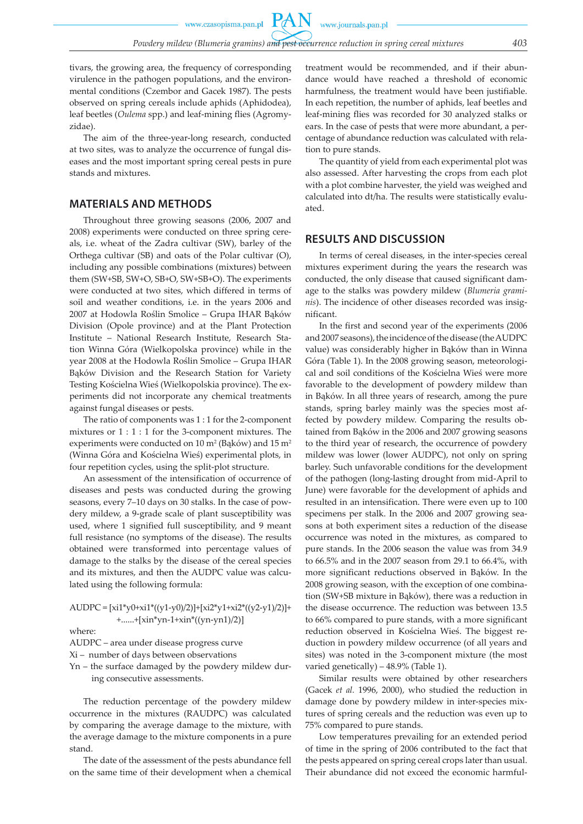**PAN** 

tivars, the growing area, the frequency of corresponding virulence in the pathogen populations, and the environmental conditions (Czembor and Gacek 1987). The pests observed on spring cereals include aphids (Aphidodea), leaf beetles (*Oulema* spp.) and leaf-mining flies (Agromyzidae).

The aim of the three-year-long research, conducted at two sites, was to analyze the occurrence of fungal diseases and the most important spring cereal pests in pure stands and mixtures.

#### **MATERIALS AND METHODS**

Throughout three growing seasons (2006, 2007 and 2008) experiments were conducted on three spring cereals, i.e. wheat of the Zadra cultivar (SW), barley of the Orthega cultivar (SB) and oats of the Polar cultivar (O), including any possible combinations (mixtures) between them (SW+SB, SW+O, SB+O, SW+SB+O). The experiments were conducted at two sites, which differed in terms of soil and weather conditions, i.e. in the years 2006 and 2007 at Hodowla Roślin Smolice – Grupa IHAR Bąków Division (Opole province) and at the Plant Protection Institute – National Research Institute, Research Station Winna Góra (Wielkopolska province) while in the year 2008 at the Hodowla Roślin Smolice – Grupa IHAR Bąków Division and the Research Station for Variety Testing Kościelna Wieś (Wielkopolskia province). The experiments did not incorporate any chemical treatments against fungal diseases or pests.

The ratio of components was 1 : 1 for the 2-component mixtures or 1 : 1 : 1 for the 3-component mixtures. The experiments were conducted on  $10 \text{ m}^2$  (Bąków) and  $15 \text{ m}^2$ (Winna Góra and Kościelna Wieś) experimental plots, in four repetition cycles, using the split-plot structure.

An assessment of the intensification of occurrence of diseases and pests was conducted during the growing seasons, every 7–10 days on 30 stalks. In the case of powdery mildew, a 9-grade scale of plant susceptibility was used, where 1 signified full susceptibility, and 9 meant full resistance (no symptoms of the disease). The results obtained were transformed into percentage values of damage to the stalks by the disease of the cereal species and its mixtures, and then the AUDPC value was calculated using the following formula:

## AUDPC =  $[xi1*y0+xi1*((y1-y0)/2)]+[xi2*y1+xi2*((y2-y1)/2)]+$ +......+[xin\*yn-1+xin\*((yn-yn1)/2)]

where:

AUDPC – area under disease progress curve

Xi – number of days between observations

Yn – the surface damaged by the powdery mildew during consecutive assessments.

The reduction percentage of the powdery mildew occurrence in the mixtures (RAUDPC) was calculated by comparing the average damage to the mixture, with the average damage to the mixture components in a pure stand.

The date of the assessment of the pests abundance fell on the same time of their development when a chemical treatment would be recommended, and if their abundance would have reached a threshold of economic harmfulness, the treatment would have been justifiable. In each repetition, the number of aphids, leaf beetles and leaf-mining flies was recorded for 30 analyzed stalks or ears. In the case of pests that were more abundant, a percentage of abundance reduction was calculated with relation to pure stands.

The quantity of yield from each experimental plot was also assessed. After harvesting the crops from each plot with a plot combine harvester, the yield was weighed and calculated into dt/ha. The results were statistically evaluated.

## **RESULTS AND DISCUSSION**

In terms of cereal diseases, in the inter-species cereal mixtures experiment during the years the research was conducted, the only disease that caused significant damage to the stalks was powdery mildew (*Blumeria graminis*). The incidence of other diseases recorded was insignificant.

In the first and second year of the experiments (2006 and 2007 seasons), the incidence of the disease (the AUDPC value) was considerably higher in Bąków than in Winna Góra (Table 1). In the 2008 growing season, meteorological and soil conditions of the Kościelna Wieś were more favorable to the development of powdery mildew than in Bąków. In all three years of research, among the pure stands, spring barley mainly was the species most affected by powdery mildew. Comparing the results obtained from Bąków in the 2006 and 2007 growing seasons to the third year of research, the occurrence of powdery mildew was lower (lower AUDPC), not only on spring barley. Such unfavorable conditions for the development of the pathogen (long-lasting drought from mid-April to June) were favorable for the development of aphids and resulted in an intensification. There were even up to 100 specimens per stalk. In the 2006 and 2007 growing seasons at both experiment sites a reduction of the disease occurrence was noted in the mixtures, as compared to pure stands. In the 2006 season the value was from 34.9 to 66.5% and in the 2007 season from 29.1 to 66.4%, with more significant reductions observed in Bąków. In the 2008 growing season, with the exception of one combination (SW+SB mixture in Bąków), there was a reduction in the disease occurrence. The reduction was between 13.5 to 66% compared to pure stands, with a more significant reduction observed in Kościelna Wieś. The biggest reduction in powdery mildew occurrence (of all years and sites) was noted in the 3-component mixture (the most varied genetically) – 48.9% (Table 1).

Similar results were obtained by other researchers (Gacek *et al.* 1996, 2000), who studied the reduction in damage done by powdery mildew in inter-species mixtures of spring cereals and the reduction was even up to 75% compared to pure stands.

Low temperatures prevailing for an extended period of time in the spring of 2006 contributed to the fact that the pests appeared on spring cereal crops later than usual. Their abundance did not exceed the economic harmful-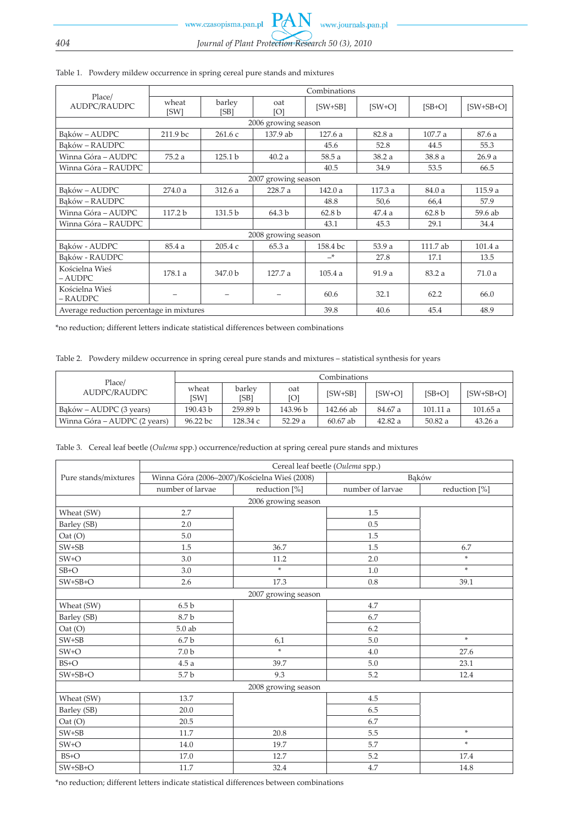| Place/                                   |                     |                    |                      | Combinations      |          |                   |             |
|------------------------------------------|---------------------|--------------------|----------------------|-------------------|----------|-------------------|-------------|
| AUDPC/RAUDPC                             | wheat<br>[SW]       | barley<br>[SB]     | oat<br>$\mathcal{O}$ | $[SW+SB]$         | $[SW+O]$ | $[SB+O]$          | $[SW+SB+O]$ |
|                                          |                     |                    | 2006 growing season  |                   |          |                   |             |
| Bąków – AUDPC                            | 211.9 <sub>bc</sub> | 261.6c             | 137.9 ab             | 127.6a            | 82.8 a   | 107.7 a           | 87.6 a      |
| Baków - RAUDPC                           |                     |                    |                      | 45.6              | 52.8     | 44.5              | 55.3        |
| Winna Góra – AUDPC                       | 75.2a               | 125.1 <sub>b</sub> | 40.2a                | 58.5a             | 38.2 a   | 38.8a             | 26.9a       |
| Winna Góra – RAUDPC                      |                     |                    |                      | 40.5              | 34.9     | 53.5              | 66.5        |
|                                          |                     |                    | 2007 growing season  |                   |          |                   |             |
| Baków – AUDPC                            | 274.0a              | 312.6a             | 228.7 a              | 142.0a            | 117.3 a  | 84.0 a            | 115.9a      |
| Baków - RAUDPC                           |                     |                    |                      | 48.8              | 50,6     | 66,4              | 57.9        |
| Winna Góra - AUDPC                       | 117.2 b             | 131.5 <sub>b</sub> | 64.3 b               | 62.8 <sub>b</sub> | 47.4a    | 62.8 <sub>b</sub> | 59.6 ab     |
| Winna Góra – RAUDPC                      |                     |                    |                      | 43.1              | 45.3     | 29.1              | 34.4        |
|                                          |                     |                    | 2008 growing season  |                   |          |                   |             |
| Baków - AUDPC                            | 85.4a               | 205.4c             | 65.3a                | 158.4 bc          | 53.9 a   | 111.7 ab          | 101.4a      |
| Baków - RAUDPC                           |                     |                    |                      | $-$ *             | 27.8     | 17.1              | 13.5        |
| Kościelna Wieś<br>– AUDPC                | 178.1 a             | 347.0 b            | 127.7 a              | 105.4a            | 91.9a    | 83.2 a            | 71.0a       |
| Kościelna Wieś<br>– RAUDPC               |                     |                    | -                    | 60.6              | 32.1     | 62.2              | 66.0        |
| Average reduction percentage in mixtures |                     |                    |                      | 39.8              | 40.6     | 45.4              | 48.9        |

## Table 1. Powdery mildew occurrence in spring cereal pure stands and mixtures

\*no reduction; different letters indicate statistical differences between combinations

Table 2. Powdery mildew occurrence in spring cereal pure stands and mixtures – statistical synthesis for years

| Place/                       | Combinations  |                |            |            |          |         |             |  |
|------------------------------|---------------|----------------|------------|------------|----------|---------|-------------|--|
| AUDPC/RAUDPC                 | wheat<br>iswi | barley<br>[SB] | oat<br>ГOI | $[SW+SB]$  | $[SW+O]$ | [SB+O]  | $[SW+SB+O]$ |  |
| Baków – AUDPC (3 years)      | 190.43 b      | 259.89 b       | 143.96 b   | 142.66 ab  | 84.67 a  | 101.11a | 101.65a     |  |
| Winna Góra – AUDPC (2 years) | 96.22 bc      | 128.34 с       | 52.29a     | $60.67$ ab | 42.82a   | 50.82a  | 43.26a      |  |

|  |  |  | Table 3. Cereal leaf beetle (Oulema spp.) occurrence/reduction at spring cereal pure stands and mixture |  |  |  |
|--|--|--|---------------------------------------------------------------------------------------------------------|--|--|--|
|--|--|--|---------------------------------------------------------------------------------------------------------|--|--|--|

|                                       | Cereal leaf beetle (Oulema spp.)             |                     |                  |               |  |  |  |
|---------------------------------------|----------------------------------------------|---------------------|------------------|---------------|--|--|--|
| Pure stands/mixtures                  | Winna Góra (2006-2007)/Kościelna Wieś (2008) |                     | Baków            |               |  |  |  |
|                                       | number of larvae                             | reduction [%]       | number of larvae | reduction [%] |  |  |  |
|                                       |                                              | 2006 growing season |                  |               |  |  |  |
| Wheat (SW)                            | 2.7                                          |                     | 1.5              |               |  |  |  |
| Barley (SB)                           | 2.0                                          |                     | 0.5              |               |  |  |  |
| $\mathrm{Oat}\left(\mathrm{O}\right)$ | 5.0                                          |                     | 1.5              |               |  |  |  |
| $SW+SB$                               | 1.5                                          | 36.7                | 1.5              | 6.7           |  |  |  |
| $SW+O$                                | 3.0                                          | 11.2                | 2.0              | $\ast$        |  |  |  |
| $SB+O$                                | 3.0                                          | $\ast$              | 1.0              | $\ast$        |  |  |  |
| $SW+SB+O$                             | 2.6                                          | 17.3                | 0.8              | 39.1          |  |  |  |
|                                       |                                              | 2007 growing season |                  |               |  |  |  |
| Wheat (SW)                            | 6.5 <sub>b</sub>                             |                     | 4.7              |               |  |  |  |
| Barley (SB)                           | 8.7b                                         |                     | 6.7              |               |  |  |  |
| Out(O)                                | $5.0$ ab                                     |                     | 6.2              |               |  |  |  |
| $\text{SW+SB}$                        | 6.7b                                         | 6,1                 | 5.0              | $\star$       |  |  |  |
| $SW+O$                                | 7.0 <sub>b</sub>                             | $\ast$              | 4.0              | 27.6          |  |  |  |
| $BS+O$                                | 4.5a                                         | 39.7                | 5.0              | 23.1          |  |  |  |
| $SW+SB+O$                             | 5.7b                                         | 9.3                 | 5.2              | 12.4          |  |  |  |
|                                       |                                              | 2008 growing season |                  |               |  |  |  |
| Wheat (SW)                            | 13.7                                         |                     | 4.5              |               |  |  |  |
| Barley (SB)                           | 20.0                                         |                     | 6.5              |               |  |  |  |
| Oat (O)                               | 20.5                                         |                     | 6.7              |               |  |  |  |
| $\text{SW+SB}$                        | 11.7                                         | 20.8                | 5.5              | $*$           |  |  |  |
| $SW+O$                                | 14.0                                         | 19.7                | 5.7              | $\ast$        |  |  |  |
| $BS+O$                                | 17.0                                         | 12.7                | 5.2              | 17.4          |  |  |  |
| $SW+SB+O$                             | 11.7                                         | 32.4                | 4.7              | 14.8          |  |  |  |

\*no reduction; different letters indicate statistical differences between combinations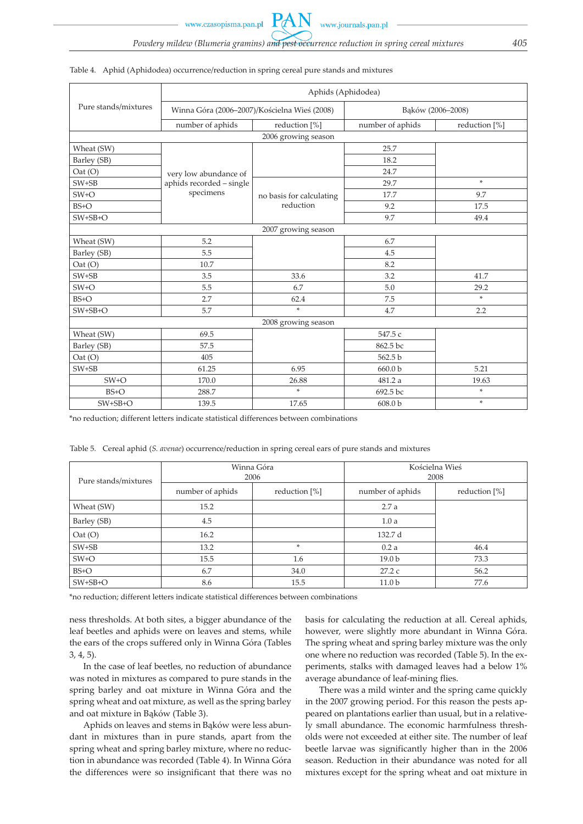www.czasopisma.pan.pl

|                                       | Aphids (Aphidodea)                           |                          |                    |               |  |  |  |
|---------------------------------------|----------------------------------------------|--------------------------|--------------------|---------------|--|--|--|
| Pure stands/mixtures                  | Winna Góra (2006–2007)/Kościelna Wieś (2008) |                          | Baków (2006-2008)  |               |  |  |  |
|                                       | number of aphids                             | reduction [%]            | number of aphids   | reduction [%] |  |  |  |
|                                       |                                              | 2006 growing season      |                    |               |  |  |  |
| Wheat (SW)                            |                                              |                          | 25.7               |               |  |  |  |
| Barley (SB)                           |                                              |                          | 18.2               |               |  |  |  |
| $\mathrm{Oat}\left(\mathrm{O}\right)$ | very low abundance of                        |                          | 24.7               |               |  |  |  |
| $SW+SB$                               | aphids recorded - single                     |                          | 29.7               | $\star$       |  |  |  |
| $SW+O$                                | specimens                                    | no basis for calculating | 17.7               | 9.7           |  |  |  |
| $BS+O$                                |                                              | reduction                | 9.2                | 17.5          |  |  |  |
| $SW+SB+O$                             |                                              |                          | 9.7                | 49.4          |  |  |  |
|                                       |                                              | 2007 growing season      |                    |               |  |  |  |
| Wheat (SW)                            | 5.2                                          |                          | 6.7                |               |  |  |  |
| Barley (SB)                           | 5.5                                          |                          | 4.5                |               |  |  |  |
| $\mathrm{Oat}\left(\mathrm{O}\right)$ | 10.7                                         |                          | 8.2                |               |  |  |  |
| $SW+SB$                               | 3.5                                          | 33.6                     | 3.2                | 41.7          |  |  |  |
| $SW+O$                                | 5.5                                          | 6.7                      | 5.0                | 29.2          |  |  |  |
| $BS+O$                                | 2.7                                          | 62.4                     | 7.5                | $\ast$        |  |  |  |
| $SW+SB+O$                             | 5.7                                          | $\star$                  | 4.7                | 2.2           |  |  |  |
|                                       |                                              | 2008 growing season      |                    |               |  |  |  |
| Wheat (SW)                            | 69.5                                         |                          | 547.5 c            |               |  |  |  |
| Barley (SB)                           | 57.5                                         |                          | 862.5 bc           |               |  |  |  |
| $\mathrm{Oat}\left(\mathrm{O}\right)$ | 405                                          |                          | 562.5 b            |               |  |  |  |
| $SW+SB$                               | 61.25                                        | 6.95                     | 660.0 <sub>b</sub> | 5.21          |  |  |  |
| $SW+O$                                | 170.0                                        | 26.88                    | 481.2 a            | 19.63         |  |  |  |
| $BS+O$                                | 288.7                                        | $\star$                  | 692.5 bc           | $\ast$        |  |  |  |
| $SW+SB+O$                             | 139.5                                        | 17.65                    | 608.0 b            | $\ast$        |  |  |  |

#### Table 4. Aphid (Aphidodea) occurrence/reduction in spring cereal pure stands and mixtures

\*no reduction; different letters indicate statistical differences between combinations

Table 5. Cereal aphid (*S. avenae*) occurrence/reduction in spring cereal ears of pure stands and mixtures

| Pure stands/mixtures                  |                                   | Winna Góra<br>2006 | Kościelna Wieś<br>2008 |               |  |
|---------------------------------------|-----------------------------------|--------------------|------------------------|---------------|--|
|                                       | number of aphids<br>reduction [%] |                    | number of aphids       | reduction [%] |  |
| Wheat (SW)                            | 15.2                              |                    | 2.7a                   |               |  |
| Barley (SB)                           | 4.5                               |                    | 1.0a                   |               |  |
| $\mathrm{Oat}\left(\mathrm{O}\right)$ | 16.2                              |                    | 132.7 d                |               |  |
| SW+SB                                 | 13.2                              | *                  | 0.2a                   | 46.4          |  |
| $SW+O$                                | 15.5                              | 1.6                | 19.0 <sub>b</sub>      | 73.3          |  |
| $BS+O$                                | 6.7                               | 34.0               | 27.2c                  | 56.2          |  |
| $SW+SB+O$                             | 8.6                               | 15.5               | 11.0 <sub>b</sub>      | 77.6          |  |

\*no reduction; different letters indicate statistical differences between combinations

ness thresholds. At both sites, a bigger abundance of the leaf beetles and aphids were on leaves and stems, while the ears of the crops suffered only in Winna Góra (Tables 3, 4, 5).

In the case of leaf beetles, no reduction of abundance was noted in mixtures as compared to pure stands in the spring barley and oat mixture in Winna Góra and the spring wheat and oat mixture, as well as the spring barley and oat mixture in Bąków (Table 3).

Aphids on leaves and stems in Bąków were less abundant in mixtures than in pure stands, apart from the spring wheat and spring barley mixture, where no reduction in abundance was recorded (Table 4). In Winna Góra the differences were so insignificant that there was no basis for calculating the reduction at all. Cereal aphids, however, were slightly more abundant in Winna Góra. The spring wheat and spring barley mixture was the only one where no reduction was recorded (Table 5). In the experiments, stalks with damaged leaves had a below 1% average abundance of leaf-mining flies.

There was a mild winter and the spring came quickly in the 2007 growing period. For this reason the pests appeared on plantations earlier than usual, but in a relatively small abundance. The economic harmfulness thresholds were not exceeded at either site. The number of leaf beetle larvae was significantly higher than in the 2006 season. Reduction in their abundance was noted for all mixtures except for the spring wheat and oat mixture in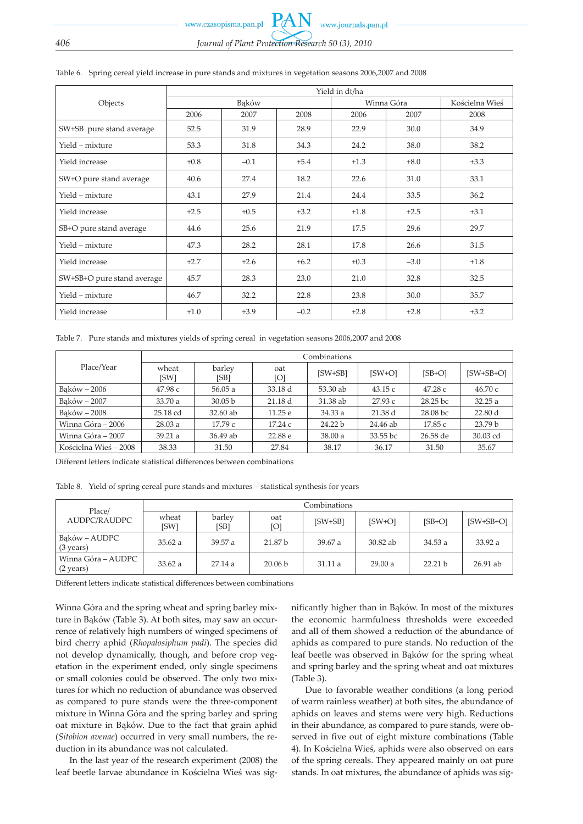## *406 Journal of Plant Protection Research 50 (3), 2010*

|                            | Yield in dt/ha |        |        |        |            |                |  |  |  |
|----------------------------|----------------|--------|--------|--------|------------|----------------|--|--|--|
| Objects                    |                | Baków  |        |        | Winna Góra | Kościelna Wieś |  |  |  |
|                            | 2006           | 2007   | 2008   | 2006   | 2007       | 2008           |  |  |  |
| SW+SB pure stand average   | 52.5           | 31.9   | 28.9   | 22.9   | 30.0       | 34.9           |  |  |  |
| Yield – mixture            | 53.3           | 31.8   | 34.3   | 24.2   | 38.0       | 38.2           |  |  |  |
| Yield increase             | $+0.8$         | $-0.1$ | $+5.4$ | $+1.3$ | $+8.0$     | $+3.3$         |  |  |  |
| SW+O pure stand average    | 40.6           | 27.4   | 18.2   | 22.6   | 31.0       | 33.1           |  |  |  |
| Yield – mixture            | 43.1           | 27.9   | 21.4   | 24.4   | 33.5       | 36.2           |  |  |  |
| Yield increase             | $+2.5$         | $+0.5$ | $+3.2$ | $+1.8$ | $+2.5$     | $+3.1$         |  |  |  |
| SB+O pure stand average    | 44.6           | 25.6   | 21.9   | 17.5   | 29.6       | 29.7           |  |  |  |
| Yield - mixture            | 47.3           | 28.2   | 28.1   | 17.8   | 26.6       | 31.5           |  |  |  |
| Yield increase             | $+2.7$         | $+2.6$ | $+6.2$ | $+0.3$ | $-3.0$     | $+1.8$         |  |  |  |
| SW+SB+O pure stand average | 45.7           | 28.3   | 23.0   | 21.0   | 32.8       | 32.5           |  |  |  |
| Yield - mixture            | 46.7           | 32.2   | 22.8   | 23.8   | 30.0       | 35.7           |  |  |  |
| Yield increase             | $+1.0$         | $+3.9$ | $-0.2$ | $+2.8$ | $+2.8$     | $+3.2$         |  |  |  |

Table 6. Spring cereal yield increase in pure stands and mixtures in vegetation seasons 2006,2007 and 2008

Table 7. Pure stands and mixtures yields of spring cereal in vegetation seasons 2006,2007 and 2008

|                       | Combinations  |                    |            |           |          |          |                    |  |  |
|-----------------------|---------------|--------------------|------------|-----------|----------|----------|--------------------|--|--|
| Place/Year            | wheat<br>[SW] | barley<br>[SB]     | oat<br>[O] | $[SW+SB]$ | $[SW+O]$ | $[SB+O]$ | $[SW+SB+O]$        |  |  |
| $Baków - 2006$        | 47.98 с       | 56.05a             | 33.18 d    | 53.30 ab  | 43.15c   | 47.28c   | 46.70c             |  |  |
| Baków – 2007          | 33.70a        | 30.05 <sub>b</sub> | 21.18d     | 31.38 ab  | 27.93c   | 28.25 bc | 32.25a             |  |  |
| $Baków - 2008$        | 25.18 cd      | $32.60$ ab         | 11.25 e    | 34.33a    | 21.38 d  | 28.08 bc | 22.80d             |  |  |
| Winna Góra – 2006     | 28.03a        | 17.79c             | 17.24 c    | 24.22 b   | 24.46 ab | 17.85 c  | 23.79 <sub>b</sub> |  |  |
| Winna Góra – 2007     | 39.21 a       | 36.49 ab           | 22.88 e    | 38.00a    | 33.55 bc | 26.58 de | 30.03 cd           |  |  |
| Kościelna Wieś – 2008 | 38.33         | 31.50              | 27.84      | 38.17     | 36.17    | 31.50    | 35.67              |  |  |

Different letters indicate statistical differences between combinations

Table 8. Yield of spring cereal pure stands and mixtures – statistical synthesis for years

| Place/                                    | Combinations  |                |                    |           |          |                    |             |  |
|-------------------------------------------|---------------|----------------|--------------------|-----------|----------|--------------------|-------------|--|
| AUDPC/RAUDPC                              | wheat<br>[SW] | barley<br>[SB] | oat<br>[O]         | $[SW+SB]$ | $[SW+O]$ | $[SB+O]$           | $[SW+SB+O]$ |  |
| Baków – AUDPC<br>$(3 \text{ years})$      | 35.62a        | 39.57a         | 21.87 <sub>b</sub> | 39.67a    | 30.82 ab | 34.53a             | 33.92a      |  |
| Winna Góra – AUDPC<br>$(2 \text{ years})$ | 33.62a        | 27.14a         | 20.06 <sub>b</sub> | 31.11a    | 29.00a   | 22.21 <sub>b</sub> | $26.91$ ab  |  |

Different letters indicate statistical differences between combinations

Winna Góra and the spring wheat and spring barley mixture in Bąków (Table 3). At both sites, may saw an occurrence of relatively high numbers of winged specimens of bird cherry aphid (*Rhopalosiphum padi*). The species did not develop dynamically, though, and before crop vegetation in the experiment ended, only single specimens or small colonies could be observed. The only two mixtures for which no reduction of abundance was observed as compared to pure stands were the three-component mixture in Winna Góra and the spring barley and spring oat mixture in Bąków. Due to the fact that grain aphid (*Sitobion avenae*) occurred in very small numbers, the reduction in its abundance was not calculated.

In the last year of the research experiment (2008) the leaf beetle larvae abundance in Kościelna Wieś was significantly higher than in Bąków. In most of the mixtures the economic harmfulness thresholds were exceeded and all of them showed a reduction of the abundance of aphids as compared to pure stands. No reduction of the leaf beetle was observed in Bąków for the spring wheat and spring barley and the spring wheat and oat mixtures (Table 3).

Due to favorable weather conditions (a long period of warm rainless weather) at both sites, the abundance of aphids on leaves and stems were very high. Reductions in their abundance, as compared to pure stands, were observed in five out of eight mixture combinations (Table 4). In Kościelna Wieś, aphids were also observed on ears of the spring cereals. They appeared mainly on oat pure stands. In oat mixtures, the abundance of aphids was sig